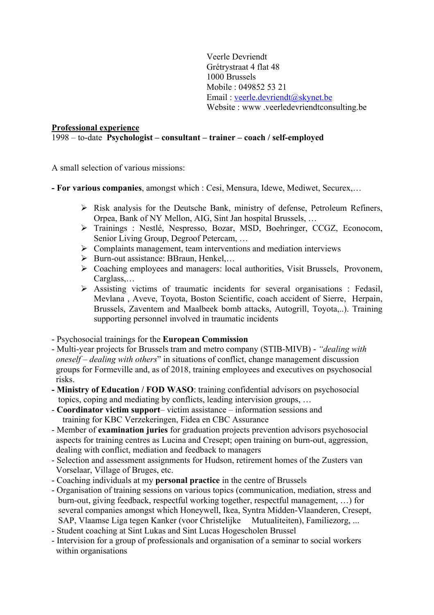Veerle Devriendt Grétrystraat 4 flat 48 1000 Brussels Mobile : 049852 53 21 Email : veerle.devriendt@skynet.be Website : www .veerledevriendtconsulting.be

#### **Professional experience**

### 1998 – to-date **Psychologist – consultant – trainer – coach / self-employed**

A small selection of various missions:

- **- For various companies**, amongst which : Cesi, Mensura, Idewe, Mediwet, Securex,…
	- $\triangleright$  Risk analysis for the Deutsche Bank, ministry of defense, Petroleum Refiners, Orpea, Bank of NY Mellon, AIG, Sint Jan hospital Brussels, …
	- Ø Trainings : Nestlé, Nespresso, Bozar, MSD, Boehringer, CCGZ, Econocom, Senior Living Group, Degroof Petercam, …
	- $\triangleright$  Complaints management, team interventions and mediation interviews
	- Ø Burn-out assistance: BBraun, Henkel,…
	- Ø Coaching employees and managers: local authorities, Visit Brussels, Provonem, Carglass,…
	- $\triangleright$  Assisting victims of traumatic incidents for several organisations : Fedasil, Mevlana , Aveve, Toyota, Boston Scientific, coach accident of Sierre, Herpain, Brussels, Zaventem and Maalbeek bomb attacks, Autogrill, Toyota,..). Training supporting personnel involved in traumatic incidents

- Psychosocial trainings for the **European Commission**

- Multi-year projects for Brussels tram and metro company (STIB-MIVB) *"dealing with oneself – dealing with others*" in situations of conflict, change management discussion groups for Formeville and, as of 2018, training employees and executives on psychosocial risks.
- **- Ministry of Education / FOD WASO**: training confidential advisors on psychosocial topics, coping and mediating by conflicts, leading intervision groups, …
- **Coordinator victim support** victim assistance information sessions and training for KBC Verzekeringen, Fidea en CBC Assurance
- Member of **examination juries** for graduation projects prevention advisors psychosocial aspects for training centres as Lucina and Cresept; open training on burn-out, aggression, dealing with conflict, mediation and feedback to managers
- Selection and assessment assignments for Hudson, retirement homes of the Zusters van Vorselaar, Village of Bruges, etc.
- Coaching individuals at my **personal practice** in the centre of Brussels
- Organisation of training sessions on various topics (communication, mediation, stress and burn-out, giving feedback, respectful working together, respectful management, …) for several companies amongst which Honeywell, Ikea, Syntra Midden-Vlaanderen, Cresept, SAP, Vlaamse Liga tegen Kanker (voor Christelijke Mutualiteiten), Familiezorg, ...
- Student coaching at Sint Lukas and Sint Lucas Hogescholen Brussel
- Intervision for a group of professionals and organisation of a seminar to social workers within organisations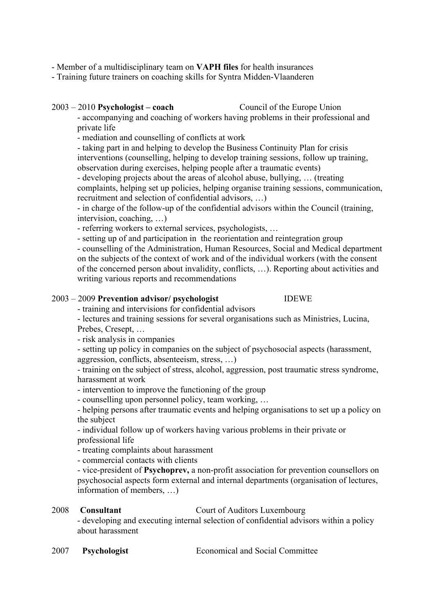- Member of a multidisciplinary team on **VAPH files** for health insurances

- Training future trainers on coaching skills for Syntra Midden-Vlaanderen

#### 2003 – 2010 **Psychologist – coach** Council of the Europe Union

- accompanying and coaching of workers having problems in their professional and private life

- mediation and counselling of conflicts at work

- taking part in and helping to develop the Business Continuity Plan for crisis interventions (counselling, helping to develop training sessions, follow up training, observation during exercises, helping people after a traumatic events)

- developing projects about the areas of alcohol abuse, bullying, … (treating complaints, helping set up policies, helping organise training sessions, communication, recruitment and selection of confidential advisors, …)

- in charge of the follow-up of the confidential advisors within the Council (training, intervision, coaching, …)

- referring workers to external services, psychologists, …

- setting up of and participation in the reorientation and reintegration group

- counselling of the Administration, Human Resources, Social and Medical department on the subjects of the context of work and of the individual workers (with the consent of the concerned person about invalidity, conflicts, …). Reporting about activities and writing various reports and recommendations

### 2003 – 2009 **Prevention advisor/ psychologist** IDEWE

- training and intervisions for confidential advisors

- lectures and training sessions for several organisations such as Ministries, Lucina, Prebes, Cresept, …

- risk analysis in companies

- setting up policy in companies on the subject of psychosocial aspects (harassment, aggression, conflicts, absenteeism, stress, …)

- training on the subject of stress, alcohol, aggression, post traumatic stress syndrome, harassment at work

- intervention to improve the functioning of the group

- counselling upon personnel policy, team working, …

- helping persons after traumatic events and helping organisations to set up a policy on the subject

- individual follow up of workers having various problems in their private or professional life

- treating complaints about harassment

- commercial contacts with clients

- vice-president of **Psychoprev,** a non-profit association for prevention counsellors on psychosocial aspects form external and internal departments (organisation of lectures, information of members, …)

#### 2008 **Consultant** Court of Auditors Luxembourg

- developing and executing internal selection of confidential advisors within a policy about harassment

2007 **Psychologist** Economical and Social Committee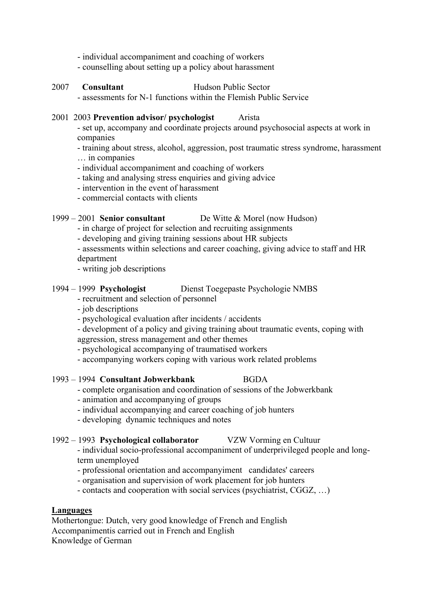- individual accompaniment and coaching of workers
- counselling about setting up a policy about harassment

# 2007 **Consultant** Hudson Public Sector

- assessments for N-1 functions within the Flemish Public Service

#### 2001 2003 **Prevention advisor/ psychologist** Arista

- set up, accompany and coordinate projects around psychosocial aspects at work in companies

- training about stress, alcohol, aggression, post traumatic stress syndrome, harassment

- … in companies
- individual accompaniment and coaching of workers
- taking and analysing stress enquiries and giving advice
- intervention in the event of harassment
- commercial contacts with clients

#### 1999 – 2001 **Senior consultant** De Witte & Morel (now Hudson)

- in charge of project for selection and recruiting assignments

- developing and giving training sessions about HR subjects
- assessments within selections and career coaching, giving advice to staff and HR department
- writing job descriptions

#### 1994 – 1999 **Psychologist** Dienst Toegepaste Psychologie NMBS

- recruitment and selection of personnel
- job descriptions
- psychological evaluation after incidents / accidents

- development of a policy and giving training about traumatic events, coping with aggression, stress management and other themes

- psychological accompanying of traumatised workers
- accompanying workers coping with various work related problems
- 1993 1994 **Consultant Jobwerkbank** BGDA
	- complete organisation and coordination of sessions of the Jobwerkbank
	- animation and accompanying of groups
	- individual accompanying and career coaching of job hunters
	- developing dynamic techniques and notes

1992 – 1993 **Psychological collaborator** VZW Vorming en Cultuur - individual socio-professional accompaniment of underprivileged people and longterm unemployed

- professional orientation and accompanyiment candidates' careers
- organisation and supervision of work placement for job hunters
- contacts and cooperation with social services (psychiatrist, CGGZ, …)

#### **Languages**

Mothertongue: Dutch, very good knowledge of French and English Accompanimentis carried out in French and English Knowledge of German